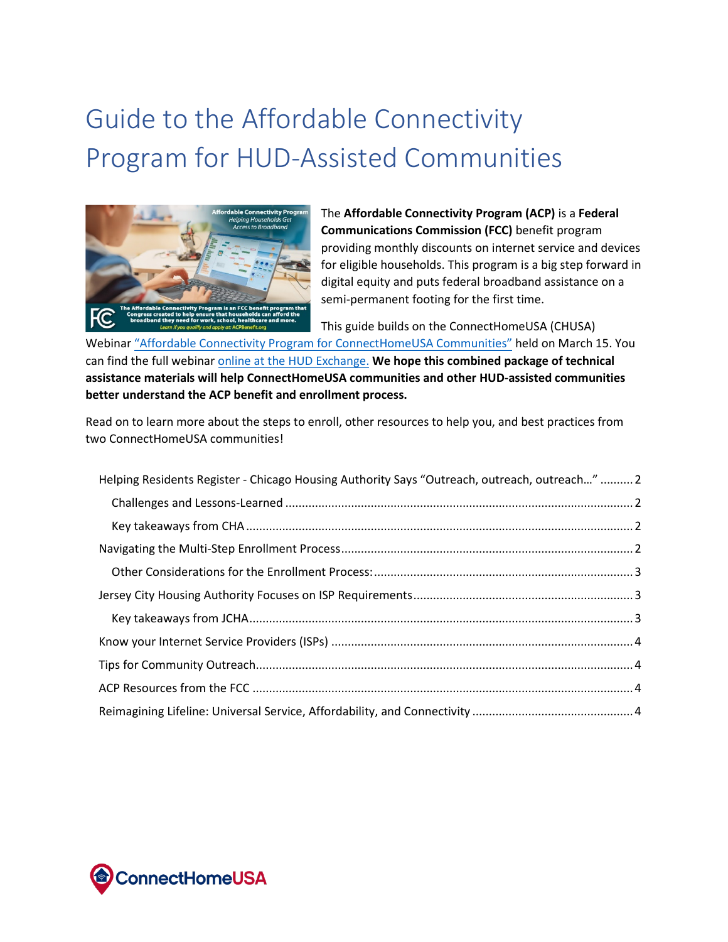# Guide to the Affordable Connectivity Program for HUD-Assisted Communities



The **Affordable Connectivity Program (ACP)** is a **Federal Communications Commission (FCC)** benefit program providing monthly discounts on internet service and devices for eligible households. This program is a big step forward in digital equity and puts federal broadband assistance on a semi-permanent footing for the first time.

This guide builds on the ConnectHomeUSA (CHUSA)

Webina[r "Affordable Connectivity Program for ConnectHomeUSA Communities"](https://www.hudexchange.info/trainings/courses/2022-connecthomeusa-affordable-connectivity-program-for-chusa-communities/4555/) held on March 15. You can find the full webinar [online at the HUD Exchange.](https://www.hudexchange.info/trainings/courses/2022-connecthomeusa-affordable-connectivity-program-for-chusa-communities/4555/) **We hope this combined package of technical assistance materials will help ConnectHomeUSA communities and other HUD-assisted communities better understand the ACP benefit and enrollment process.**

Read on to learn more about the steps to enroll, other resources to help you, and best practices from two ConnectHomeUSA communities!

| Helping Residents Register - Chicago Housing Authority Says "Outreach, outreach, outreach"  2 |  |
|-----------------------------------------------------------------------------------------------|--|
|                                                                                               |  |
|                                                                                               |  |
|                                                                                               |  |
|                                                                                               |  |
|                                                                                               |  |
|                                                                                               |  |
|                                                                                               |  |
|                                                                                               |  |
|                                                                                               |  |
|                                                                                               |  |

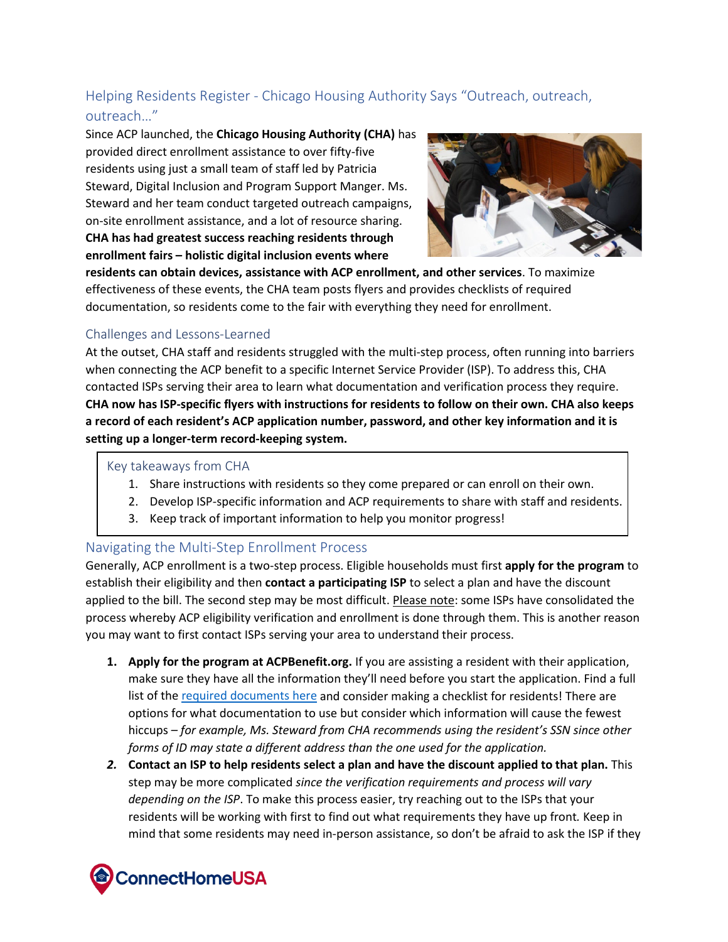# <span id="page-1-0"></span>Helping Residents Register - Chicago Housing Authority Says "Outreach, outreach, outreach…"

Since ACP launched, the **Chicago Housing Authority (CHA)** has provided direct enrollment assistance to over fifty-five residents using just a small team of staff led by Patricia Steward, Digital Inclusion and Program Support Manger. Ms. Steward and her team conduct targeted outreach campaigns, on-site enrollment assistance, and a lot of resource sharing. **CHA has had greatest success reaching residents through enrollment fairs – holistic digital inclusion events where** 



**residents can obtain devices, assistance with ACP enrollment, and other services**. To maximize effectiveness of these events, the CHA team posts flyers and provides checklists of required documentation, so residents come to the fair with everything they need for enrollment.

## <span id="page-1-1"></span>Challenges and Lessons-Learned

At the outset, CHA staff and residents struggled with the multi-step process, often running into barriers when connecting the ACP benefit to a specific Internet Service Provider (ISP). To address this, CHA contacted ISPs serving their area to learn what documentation and verification process they require. **CHA now has ISP-specific flyers with instructions for residents to follow on their own. CHA also keeps a record of each resident's ACP application number, password, and other key information and it is setting up a longer-term record-keeping system.**

#### <span id="page-1-2"></span>Key takeaways from CHA

- 1. Share instructions with residents so they come prepared or can enroll on their own.
- 2. Develop ISP-specific information and ACP requirements to share with staff and residents.
- 3. Keep track of important information to help you monitor progress!

#### <span id="page-1-3"></span>Navigating the Multi-Step Enrollment Process

Generally, ACP enrollment is a two-step process. Eligible households must first **apply for the program** to establish their eligibility and then **contact a participating ISP** to select a plan and have the discount applied to the bill. The second step may be most difficult. Please note: some ISPs have consolidated the process whereby ACP eligibility verification and enrollment is done through them. This is another reason you may want to first contact ISPs serving your area to understand their process.

- **1. Apply for the program at ACPBenefit.org.** If you are assisting a resident with their application, make sure they have all the information they'll need before you start the application. Find a full list of th[e required documents here](https://acpbenefit.org/how-to-apply/show-you-qualify/) and consider making a checklist for residents! There are options for what documentation to use but consider which information will cause the fewest hiccups *– for example, Ms. Steward from CHA recommends using the resident's SSN since other forms of ID may state a different address than the one used for the application.*
- *2.* **Contact an ISP to help residents select a plan and have the discount applied to that plan.** This step may be more complicated *since the verification requirements and process will vary depending on the ISP*. To make this process easier, try reaching out to the ISPs that your residents will be working with first to find out what requirements they have up front*.* Keep in mind that some residents may need in-person assistance, so don't be afraid to ask the ISP if they

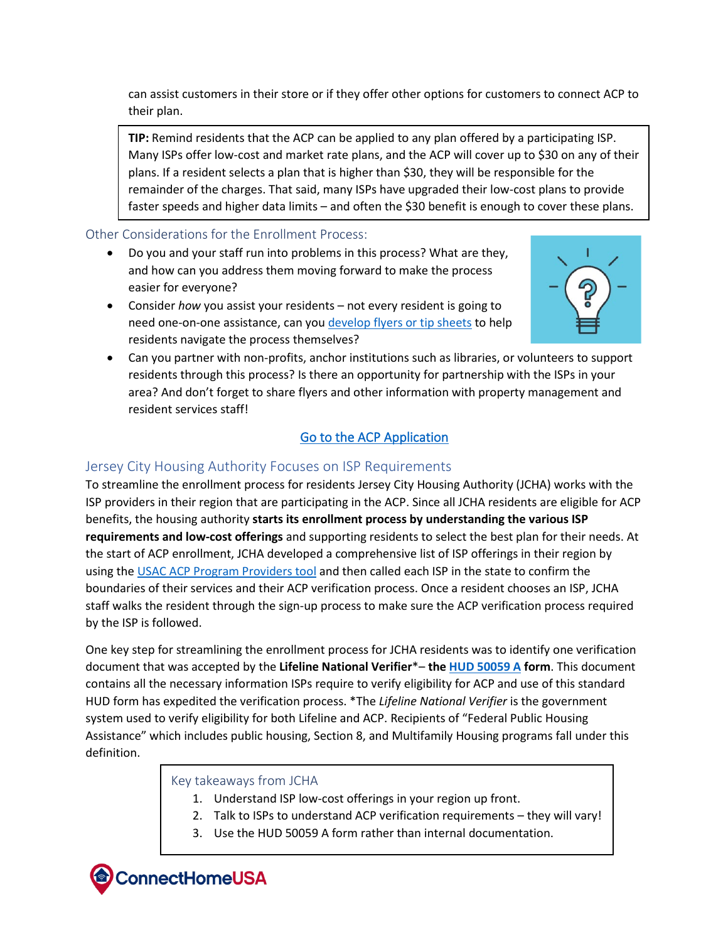can assist customers in their store or if they offer other options for customers to connect ACP to their plan.

**TIP:** Remind residents that the ACP can be applied to any plan offered by a participating ISP. Many ISPs offer low-cost and market rate plans, and the ACP will cover up to \$30 on any of their plans. If a resident selects a plan that is higher than \$30, they will be responsible for the remainder of the charges. That said, many ISPs have upgraded their low-cost plans to provide faster speeds and higher data limits – and often the \$30 benefit is enough to cover these plans.

## <span id="page-2-0"></span>Other Considerations for the Enrollment Process:

- Do you and your staff run into problems in this process? What are they, and how can you address them moving forward to make the process easier for everyone?
- Consider *how* you assist your residents not every resident is going to need one-on-one assistance, can you [develop flyers or tip sheets](https://www.fcc.gov/acp-consumer-outreach-toolkit) to help residents navigate the process themselves?



• Can you partner with non-profits, anchor institutions such as libraries, or volunteers to support residents through this process? Is there an opportunity for partnership with the ISPs in your area? And don't forget to share flyers and other information with property management and resident services staff!

# [Go to the ACP Application](https://www.checklifeline.org/lifeline/?id=nv_flow&ebbp=true)

# <span id="page-2-1"></span>Jersey City Housing Authority Focuses on ISP Requirements

To streamline the enrollment process for residents Jersey City Housing Authority (JCHA) works with the ISP providers in their region that are participating in the ACP. Since all JCHA residents are eligible for ACP benefits, the housing authority **starts its enrollment process by understanding the various ISP requirements and low-cost offerings** and supporting residents to select the best plan for their needs. At the start of ACP enrollment, JCHA developed a comprehensive list of ISP offerings in their region by using the USAC [ACP Program Providers](https://www.fcc.gov/affordable-connectivity-program-providers) tool and then called each ISP in the state to confirm the boundaries of their services and their ACP verification process. Once a resident chooses an ISP, JCHA staff walks the resident through the sign-up process to make sure the ACP verification process required by the ISP is followed.

One key step for streamlining the enrollment process for JCHA residents was to identify one verification document that was accepted by the **Lifeline National Verifier**\*– **the [HUD 50059 A](https://www.hud.gov/sites/documents/50059-A.PDF) form**. This document contains all the necessary information ISPs require to verify eligibility for ACP and use of this standard HUD form has expedited the verification process. \*The *Lifeline National Verifier* is the government system used to verify eligibility for both Lifeline and ACP. Recipients of "Federal Public Housing Assistance" which includes public housing, Section 8, and Multifamily Housing programs fall under this definition.

## <span id="page-2-2"></span>Key takeaways from JCHA

- 1. Understand ISP low-cost offerings in your region up front.
- 2. Talk to ISPs to understand ACP verification requirements they will vary!
- 3. Use the HUD 50059 A form rather than internal documentation.